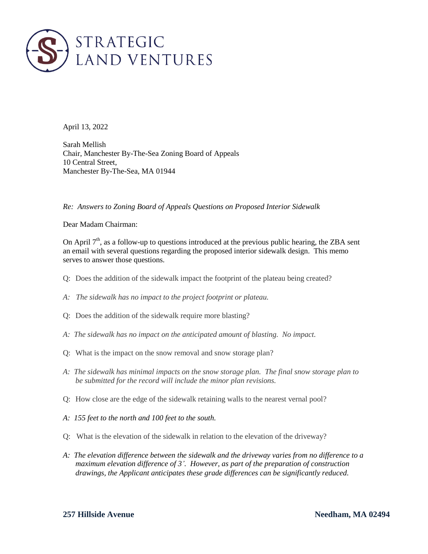

April 13, 2022

Sarah Mellish Chair, Manchester By-The-Sea Zoning Board of Appeals 10 Central Street, Manchester By-The-Sea, MA 01944

*Re: Answers to Zoning Board of Appeals Questions on Proposed Interior Sidewalk*

Dear Madam Chairman:

On April  $7<sup>th</sup>$ , as a follow-up to questions introduced at the previous public hearing, the ZBA sent an email with several questions regarding the proposed interior sidewalk design. This memo serves to answer those questions.

- Q: Does the addition of the sidewalk impact the footprint of the plateau being created?
- *A: The sidewalk has no impact to the project footprint or plateau.*
- Q: Does the addition of the sidewalk require more blasting?
- *A: The sidewalk has no impact on the anticipated amount of blasting. No impact.*
- Q: What is the impact on the snow removal and snow storage plan?
- *A: The sidewalk has minimal impacts on the snow storage plan. The final snow storage plan to be submitted for the record will include the minor plan revisions.*
- Q: How close are the edge of the sidewalk retaining walls to the nearest vernal pool?
- *A: 155 feet to the north and 100 feet to the south.*
- Q: What is the elevation of the sidewalk in relation to the elevation of the driveway?
- *A: The elevation difference between the sidewalk and the driveway varies from no difference to a maximum elevation difference of 3'. However, as part of the preparation of construction drawings, the Applicant anticipates these grade differences can be significantly reduced.*